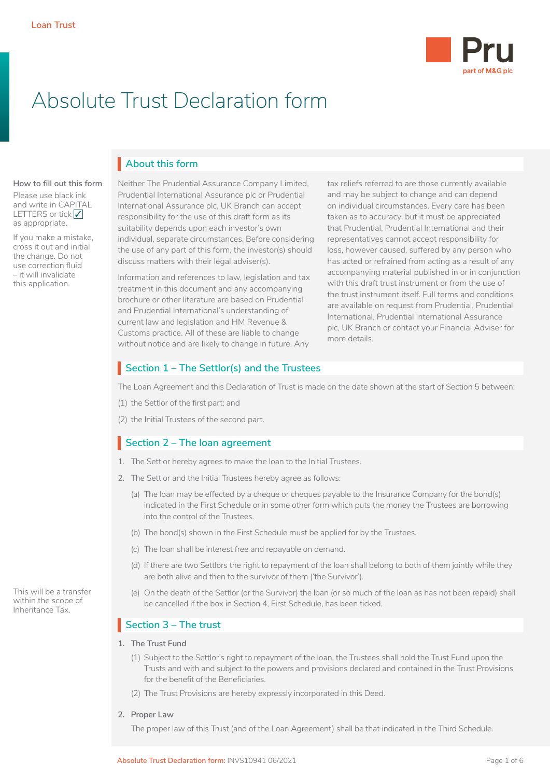

# Absolute Trust Declaration form

# **About this form**

#### **How to fill out this form**

Please use black ink and write in CAPITAL LETTERS or tick  $\sqrt{}$ as appropriate.

If you make a mistake, cross it out and initial the change. Do not use correction fluid – it will invalidate this application.

This will be a transfer within the scope of Inheritance Tax.

Neither The Prudential Assurance Company Limited, Prudential International Assurance plc or Prudential International Assurance plc, UK Branch can accept responsibility for the use of this draft form as its suitability depends upon each investor's own individual, separate circumstances. Before considering the use of any part of this form, the investor(s) should discuss matters with their legal adviser(s).

Information and references to law, legislation and tax treatment in this document and any accompanying brochure or other literature are based on Prudential and Prudential International's understanding of current law and legislation and HM Revenue & Customs practice. All of these are liable to change without notice and are likely to change in future. Any

tax reliefs referred to are those currently available and may be subject to change and can depend on individual circumstances. Every care has been taken as to accuracy, but it must be appreciated that Prudential, Prudential International and their representatives cannot accept responsibility for loss, however caused, suffered by any person who has acted or refrained from acting as a result of any accompanying material published in or in conjunction with this draft trust instrument or from the use of the trust instrument itself. Full terms and conditions are available on request from Prudential, Prudential International, Prudential International Assurance plc, UK Branch or contact your Financial Adviser for more details.

## **Section 1 – The Settlor(s) and the Trustees**

The Loan Agreement and this Declaration of Trust is made on the date shown at the start of Section 5 between:

(1) the Settlor of the first part; and

(2) the Initial Trustees of the second part.

# **Section 2 – The loan agreement**

- 1. The Settlor hereby agrees to make the loan to the Initial Trustees.
- 2. The Settlor and the Initial Trustees hereby agree as follows:
	- (a) The loan may be effected by a cheque or cheques payable to the Insurance Company for the bond(s) indicated in the First Schedule or in some other form which puts the money the Trustees are borrowing into the control of the Trustees.
	- (b) The bond(s) shown in the First Schedule must be applied for by the Trustees.
	- (c) The loan shall be interest free and repayable on demand.
	- (d) If there are two Settlors the right to repayment of the loan shall belong to both of them jointly while they are both alive and then to the survivor of them ('the Survivor').
	- (e) On the death of the Settlor (or the Survivor) the loan (or so much of the loan as has not been repaid) shall be cancelled if the box in Section 4, First Schedule, has been ticked.

## **Section 3 – The trust**

- **1. The Trust Fund**
	- (1) Subject to the Settlor's right to repayment of the loan, the Trustees shall hold the Trust Fund upon the Trusts and with and subject to the powers and provisions declared and contained in the Trust Provisions for the benefit of the Beneficiaries.
	- (2) The Trust Provisions are hereby expressly incorporated in this Deed.
- **2. Proper Law**

The proper law of this Trust (and of the Loan Agreement) shall be that indicated in the Third Schedule.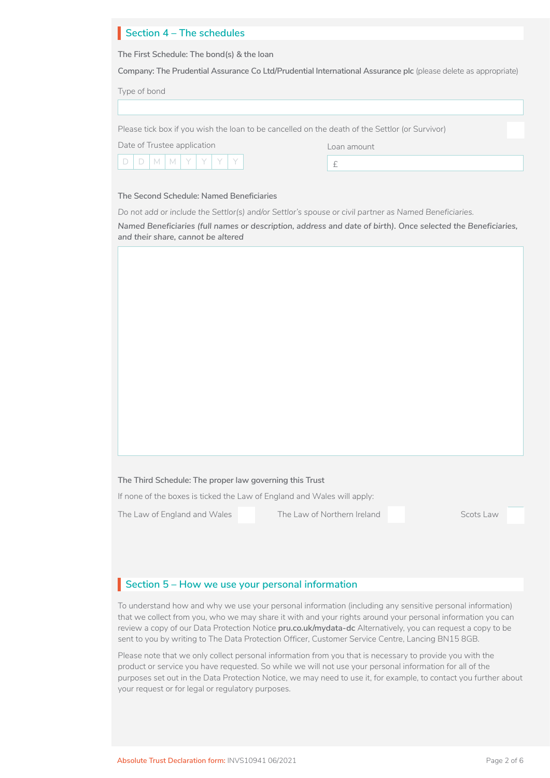# **Section 4 – The schedules**

**The First Schedule: The bond(s) & the loan**

**Company: The Prudential Assurance Co Ltd/Prudential International Assurance plc** (please delete as appropriate)

Type of bond

Please tick box if you wish the loan to be cancelled on the death of the Settlor (or Survivor)

| Date of Trustee application |  |
|-----------------------------|--|
|-----------------------------|--|



Loan amount

£

#### **The Second Schedule: Named Beneficiaries**

*Do not add or include the Settlor(s) and/or Settlor's spouse or civil partner as Named Beneficiaries. Named Beneficiaries (full names or description, address and date of birth). Once selected the Beneficiaries, and their share, cannot be altered*

#### **The Third Schedule: The proper law governing this Trust**

If none of the boxes is ticked the Law of England and Wales will apply:

The Law of England and Wales The Law of Northern Ireland Scots Law

# **Section 5 – How we use your personal information**

To understand how and why we use your personal information (including any sensitive personal information) that we collect from you, who we may share it with and your rights around your personal information you can review a copy of our Data Protection Notice **[pru.co.uk/mydata-dc](http://www.pru.co.uk/mydata-dc)** Alternatively, you can request a copy to be sent to you by writing to The Data Protection Officer, Customer Service Centre, Lancing BN15 8GB.

Please note that we only collect personal information from you that is necessary to provide you with the product or service you have requested. So while we will not use your personal information for all of the purposes set out in the Data Protection Notice, we may need to use it, for example, to contact you further about your request or for legal or regulatory purposes.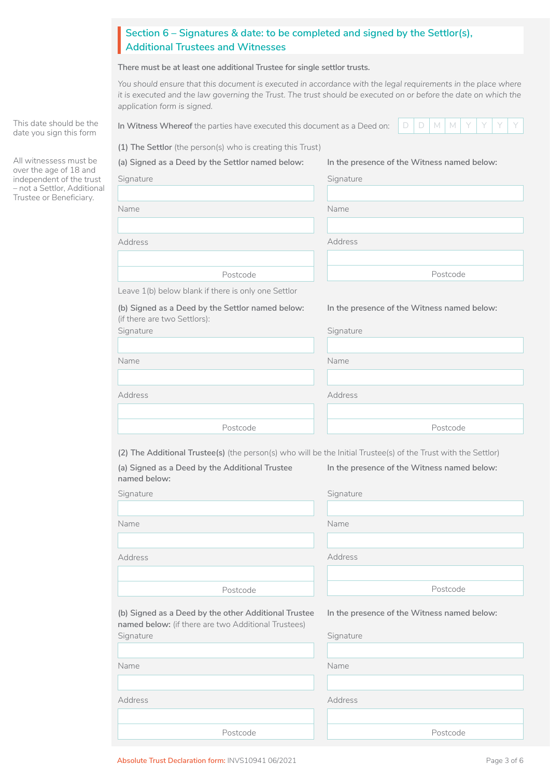# **Section 6 – Signatures & date: to be completed and signed by the Settlor(s), Additional Trustees and Witnesses**

#### **There must be at least one additional Trustee for single settlor trusts.**

*You should ensure that this document is executed in accordance with the legal requirements in the place where it is executed and the law governing the Trust. The trust should be executed on or before the date on which the application form is signed.* 

This date should be the **In Witness Whereof** the parties have executed this document as a Deed on:



**(1) The Settlor** (the person(s) who is creating this Trust)

| All witnessess must be<br>over the age of 18 and<br>independent of the trust<br>– not a Settlor, Additional<br>Trustee or Beneficiary. | (a) Signed as a Deed by the Settlor named below:   | In the presence of the Witness named below: |
|----------------------------------------------------------------------------------------------------------------------------------------|----------------------------------------------------|---------------------------------------------|
|                                                                                                                                        | Signature                                          | Signature                                   |
|                                                                                                                                        |                                                    |                                             |
|                                                                                                                                        | Name                                               | Name                                        |
|                                                                                                                                        |                                                    |                                             |
|                                                                                                                                        | Address                                            | Address                                     |
|                                                                                                                                        |                                                    |                                             |
|                                                                                                                                        | Postcode                                           | Postcode                                    |
|                                                                                                                                        | agua 1/b) bolow blank if there is only one Sottler |                                             |

Leave 1(b) below blank if there is only one Settlor

| (b) Signed as a Deed by the Settlor named below:<br>(if there are two Settlors): | In the presence of the Witness named below: |
|----------------------------------------------------------------------------------|---------------------------------------------|
| Signature                                                                        | Signature                                   |
|                                                                                  |                                             |
| Name                                                                             | Name                                        |
|                                                                                  |                                             |
| Address                                                                          | Address                                     |
|                                                                                  |                                             |
| Postcode                                                                         | Postcode                                    |
|                                                                                  |                                             |

**(2) The Additional Trustee(s)** (the person(s) who will be the Initial Trustee(s) of the Trust with the Settlor)

**(a) Signed as a Deed by the Additional Trustee named below: In the presence of the Witness named below:**

| Signature                                                                                                                | Signature                                                |
|--------------------------------------------------------------------------------------------------------------------------|----------------------------------------------------------|
|                                                                                                                          |                                                          |
| Name                                                                                                                     | Name                                                     |
|                                                                                                                          |                                                          |
| Address                                                                                                                  | Address                                                  |
|                                                                                                                          |                                                          |
| Postcode                                                                                                                 | Postcode                                                 |
| (b) Signed as a Deed by the other Additional Trustee<br>named below: (if there are two Additional Trustees)<br>Signature | In the presence of the Witness named below:<br>Signature |
|                                                                                                                          |                                                          |
| Name                                                                                                                     | Name                                                     |
|                                                                                                                          |                                                          |
| <b>Address</b>                                                                                                           | Address                                                  |
|                                                                                                                          |                                                          |
| Postcode                                                                                                                 | Postcode                                                 |
|                                                                                                                          |                                                          |

date you sign this form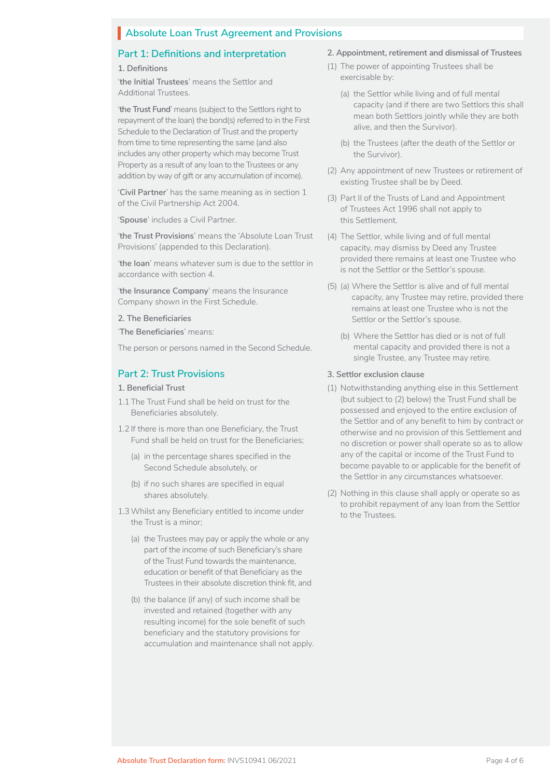## **Absolute Loan Trust Agreement and Provisions**

#### **Part 1: Definitions and interpretation**

**1. Definitions**

'**the Initial Trustees**' means the Settlor and Additional Trustees.

'**the Trust Fund**' means (subject to the Settlors right to repayment of the loan) the bond(s) referred to in the First Schedule to the Declaration of Trust and the property from time to time representing the same (and also includes any other property which may become Trust Property as a result of any loan to the Trustees or any addition by way of gift or any accumulation of income).

'**Civil Partner**' has the same meaning as in section 1 of the Civil Partnership Act 2004.

'**Spouse**' includes a Civil Partner.

'**the Trust Provisions**' means the 'Absolute Loan Trust Provisions' (appended to this Declaration).

'**the loan**' means whatever sum is due to the settlor in accordance with section 4.

'**the Insurance Company**' means the Insurance Company shown in the First Schedule.

#### **2. The Beneficiaries**

'**The Beneficiaries**' means:

The person or persons named in the Second Schedule.

## **Part 2: Trust Provisions**

#### **1. Beneficial Trust**

- 1.1 The Trust Fund shall be held on trust for the Beneficiaries absolutely.
- 1.2 If there is more than one Beneficiary, the Trust Fund shall be held on trust for the Beneficiaries;
	- (a) in the percentage shares specified in the Second Schedule absolutely, or
	- (b) if no such shares are specified in equal shares absolutely.
- 1.3Whilst any Beneficiary entitled to income under the Trust is a minor;
	- (a) the Trustees may pay or apply the whole or any part of the income of such Beneficiary's share of the Trust Fund towards the maintenance, education or benefit of that Beneficiary as the Trustees in their absolute discretion think fit, and
	- (b) the balance (if any) of such income shall be invested and retained (together with any resulting income) for the sole benefit of such beneficiary and the statutory provisions for accumulation and maintenance shall not apply.

## **2. Appointment, retirement and dismissal of Trustees**

- (1) The power of appointing Trustees shall be exercisable by:
	- (a) the Settlor while living and of full mental capacity (and if there are two Settlors this shall mean both Settlors jointly while they are both alive, and then the Survivor).
	- (b) the Trustees (after the death of the Settlor or the Survivor).
- (2) Any appointment of new Trustees or retirement of existing Trustee shall be by Deed.
- (3) Part II of the Trusts of Land and Appointment of Trustees Act 1996 shall not apply to this Settlement.
- (4) The Settlor, while living and of full mental capacity, may dismiss by Deed any Trustee provided there remains at least one Trustee who is not the Settlor or the Settlor's spouse.
- (5) (a) Where the Settlor is alive and of full mental capacity, any Trustee may retire, provided there remains at least one Trustee who is not the Settlor or the Settlor's spouse.
	- (b) Where the Settlor has died or is not of full mental capacity and provided there is not a single Trustee, any Trustee may retire.

#### **3. Settlor exclusion clause**

- (1) Notwithstanding anything else in this Settlement (but subject to (2) below) the Trust Fund shall be possessed and enjoyed to the entire exclusion of the Settlor and of any benefit to him by contract or otherwise and no provision of this Settlement and no discretion or power shall operate so as to allow any of the capital or income of the Trust Fund to become payable to or applicable for the benefit of the Settlor in any circumstances whatsoever.
- (2) Nothing in this clause shall apply or operate so as to prohibit repayment of any loan from the Settlor to the Trustees.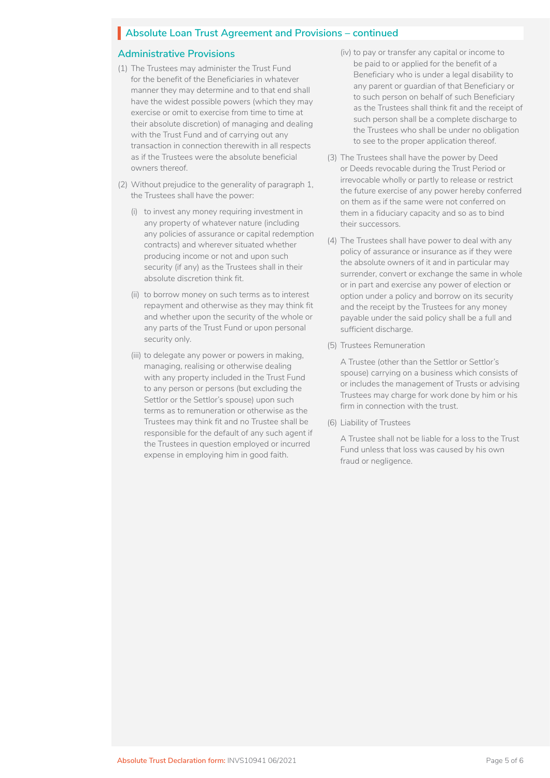## **Absolute Loan Trust Agreement and Provisions – continued**

### **Administrative Provisions**

- (1) The Trustees may administer the Trust Fund for the benefit of the Beneficiaries in whatever manner they may determine and to that end shall have the widest possible powers (which they may exercise or omit to exercise from time to time at their absolute discretion) of managing and dealing with the Trust Fund and of carrying out any transaction in connection therewith in all respects as if the Trustees were the absolute beneficial owners thereof.
- (2) Without prejudice to the generality of paragraph 1, the Trustees shall have the power:
	- (i) to invest any money requiring investment in any property of whatever nature (including any policies of assurance or capital redemption contracts) and wherever situated whether producing income or not and upon such security (if any) as the Trustees shall in their absolute discretion think fit.
	- (ii) to borrow money on such terms as to interest repayment and otherwise as they may think fit and whether upon the security of the whole or any parts of the Trust Fund or upon personal security only.
	- (iii) to delegate any power or powers in making, managing, realising or otherwise dealing with any property included in the Trust Fund to any person or persons (but excluding the Settlor or the Settlor's spouse) upon such terms as to remuneration or otherwise as the Trustees may think fit and no Trustee shall be responsible for the default of any such agent if the Trustees in question employed or incurred expense in employing him in good faith.
- (iv) to pay or transfer any capital or income to be paid to or applied for the benefit of a Beneficiary who is under a legal disability to any parent or guardian of that Beneficiary or to such person on behalf of such Beneficiary as the Trustees shall think fit and the receipt of such person shall be a complete discharge to the Trustees who shall be under no obligation to see to the proper application thereof.
- (3) The Trustees shall have the power by Deed or Deeds revocable during the Trust Period or irrevocable wholly or partly to release or restrict the future exercise of any power hereby conferred on them as if the same were not conferred on them in a fiduciary capacity and so as to bind their successors.
- (4) The Trustees shall have power to deal with any policy of assurance or insurance as if they were the absolute owners of it and in particular may surrender, convert or exchange the same in whole or in part and exercise any power of election or option under a policy and borrow on its security and the receipt by the Trustees for any money payable under the said policy shall be a full and sufficient discharge.
- (5) Trustees Remuneration

A Trustee (other than the Settlor or Settlor's spouse) carrying on a business which consists of or includes the management of Trusts or advising Trustees may charge for work done by him or his firm in connection with the trust.

(6) Liability of Trustees

A Trustee shall not be liable for a loss to the Trust Fund unless that loss was caused by his own fraud or negligence.